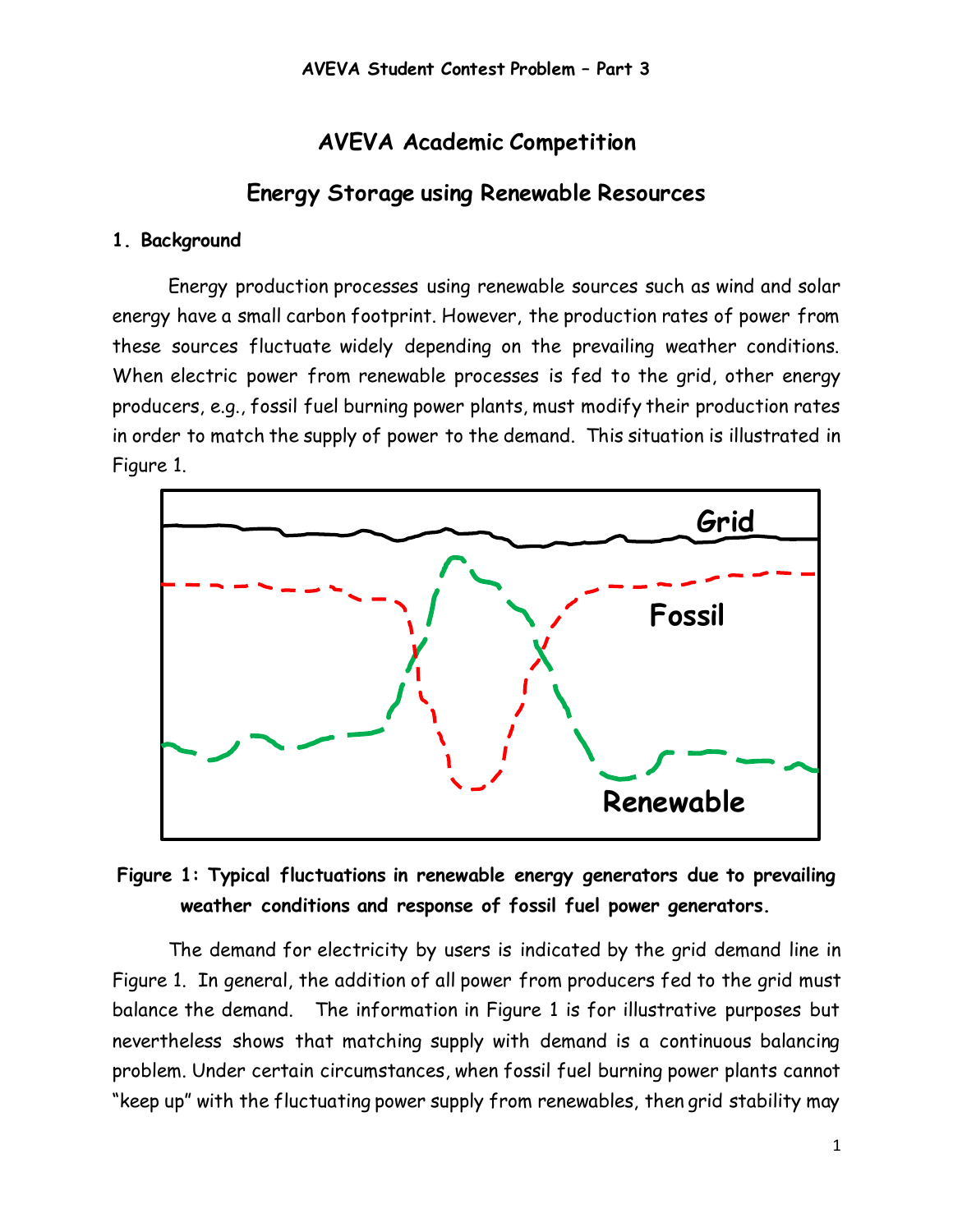# **AVEVA Academic Competition**

# **Energy Storage using Renewable Resources**

#### **1. Background**

Energy production processes using renewable sources such as wind and solar energy have a small carbon footprint. However, the production rates of power from these sources fluctuate widely depending on the prevailing weather conditions. When electric power from renewable processes is fed to the grid, other energy producers, e.g., fossil fuel burning power plants, must modify their production rates in order to match the supply of power to the demand. This situation is illustrated in Figure 1.



# **Figure 1: Typical fluctuations in renewable energy generators due to prevailing weather conditions and response of fossil fuel power generators.**

The demand for electricity by users is indicated by the grid demand line in Figure 1. In general, the addition of all power from producers fed to the grid must balance the demand. The information in Figure 1 is for illustrative purposes but nevertheless shows that matching supply with demand is a continuous balancing problem. Under certain circumstances, when fossil fuel burning power plants cannot "keep up" with the fluctuating power supply from renewables, then grid stability may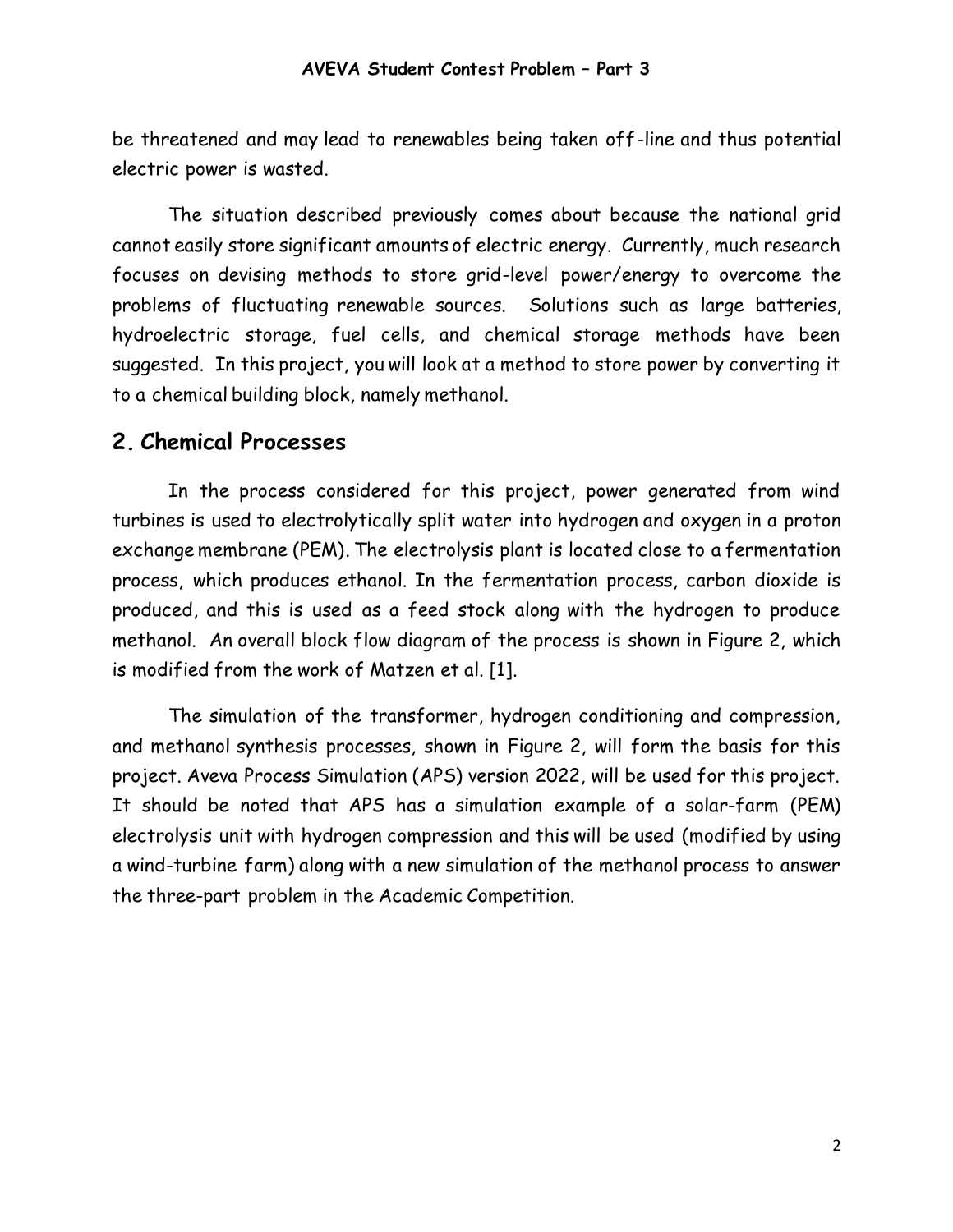be threatened and may lead to renewables being taken off-line and thus potential electric power is wasted.

The situation described previously comes about because the national grid cannot easily store significant amounts of electric energy. Currently, much research focuses on devising methods to store grid-level power/energy to overcome the problems of fluctuating renewable sources. Solutions such as large batteries, hydroelectric storage, fuel cells, and chemical storage methods have been suggested. In this project, you will look at a method to store power by converting it to a chemical building block, namely methanol.

### **2. Chemical Processes**

In the process considered for this project, power generated from wind turbines is used to electrolytically split water into hydrogen and oxygen in a proton exchange membrane (PEM). The electrolysis plant is located close to a fermentation process, which produces ethanol. In the fermentation process, carbon dioxide is produced, and this is used as a feed stock along with the hydrogen to produce methanol. An overall block flow diagram of the process is shown in Figure 2, which is modified from the work of Matzen et al. [1].

The simulation of the transformer, hydrogen conditioning and compression, and methanol synthesis processes, shown in Figure 2, will form the basis for this project. Aveva Process Simulation (APS) version 2022, will be used for this project. It should be noted that APS has a simulation example of a solar-farm (PEM) electrolysis unit with hydrogen compression and this will be used (modified by using a wind-turbine farm) along with a new simulation of the methanol process to answer the three-part problem in the Academic Competition.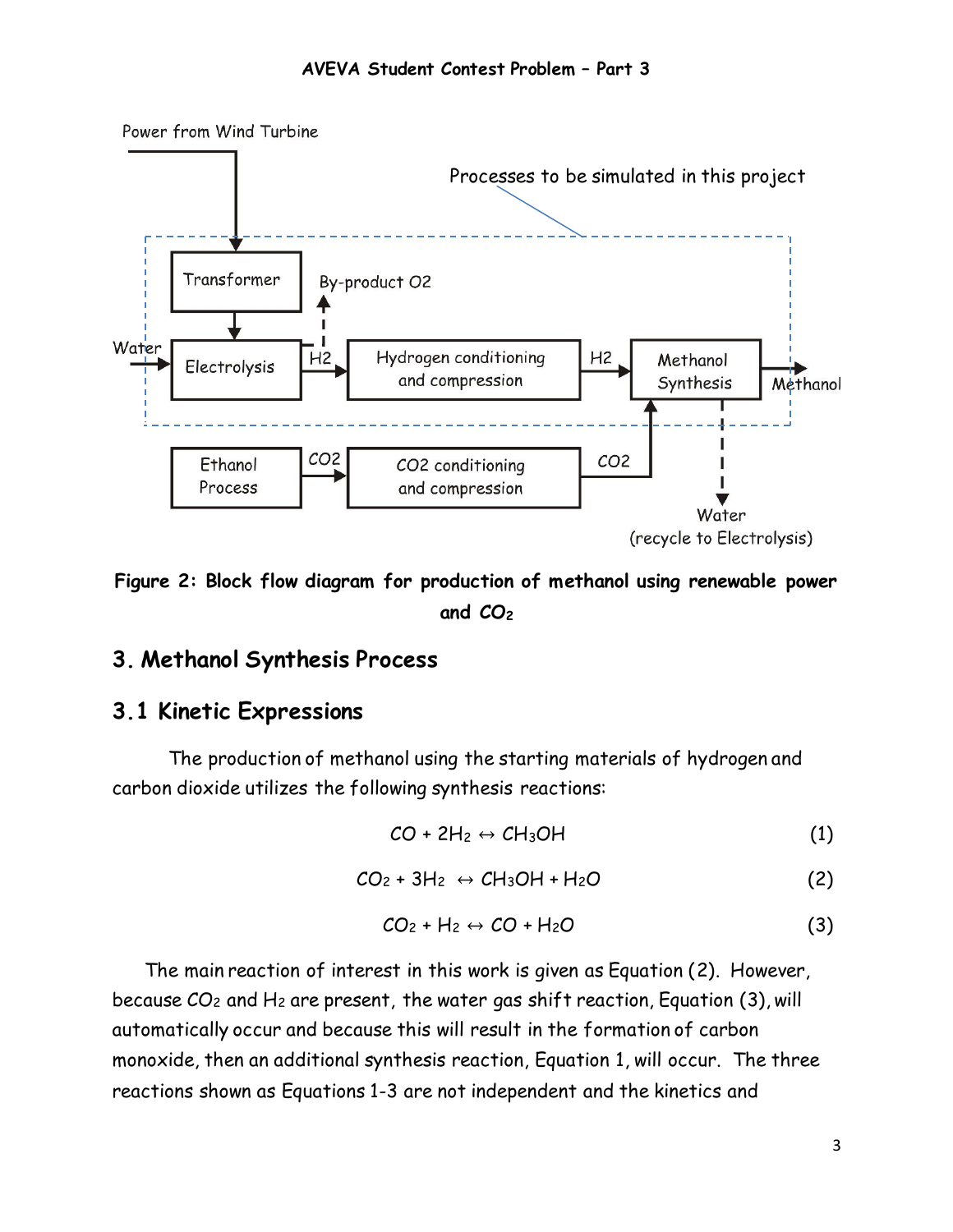

**Figure 2: Block flow diagram for production of methanol using renewable power and CO<sup>2</sup>**

### **3. Methanol Synthesis Process**

### **3.1 Kinetic Expressions**

The production of methanol using the starting materials of hydrogen and carbon dioxide utilizes the following synthesis reactions:

$$
CO + 2H_2 \leftrightarrow CH_3OH \tag{1}
$$

$$
CO_2 + 3H_2 \leftrightarrow CH_3OH + H_2O \tag{2}
$$

$$
CO_2 + H_2 \leftrightarrow CO + H_2O \tag{3}
$$

The main reaction of interest in this work is given as Equation (2). However, because  $CO_2$  and  $H_2$  are present, the water gas shift reaction, Equation (3), will automatically occur and because this will result in the formation of carbon monoxide, then an additional synthesis reaction, Equation 1, will occur. The three reactions shown as Equations 1-3 are not independent and the kinetics and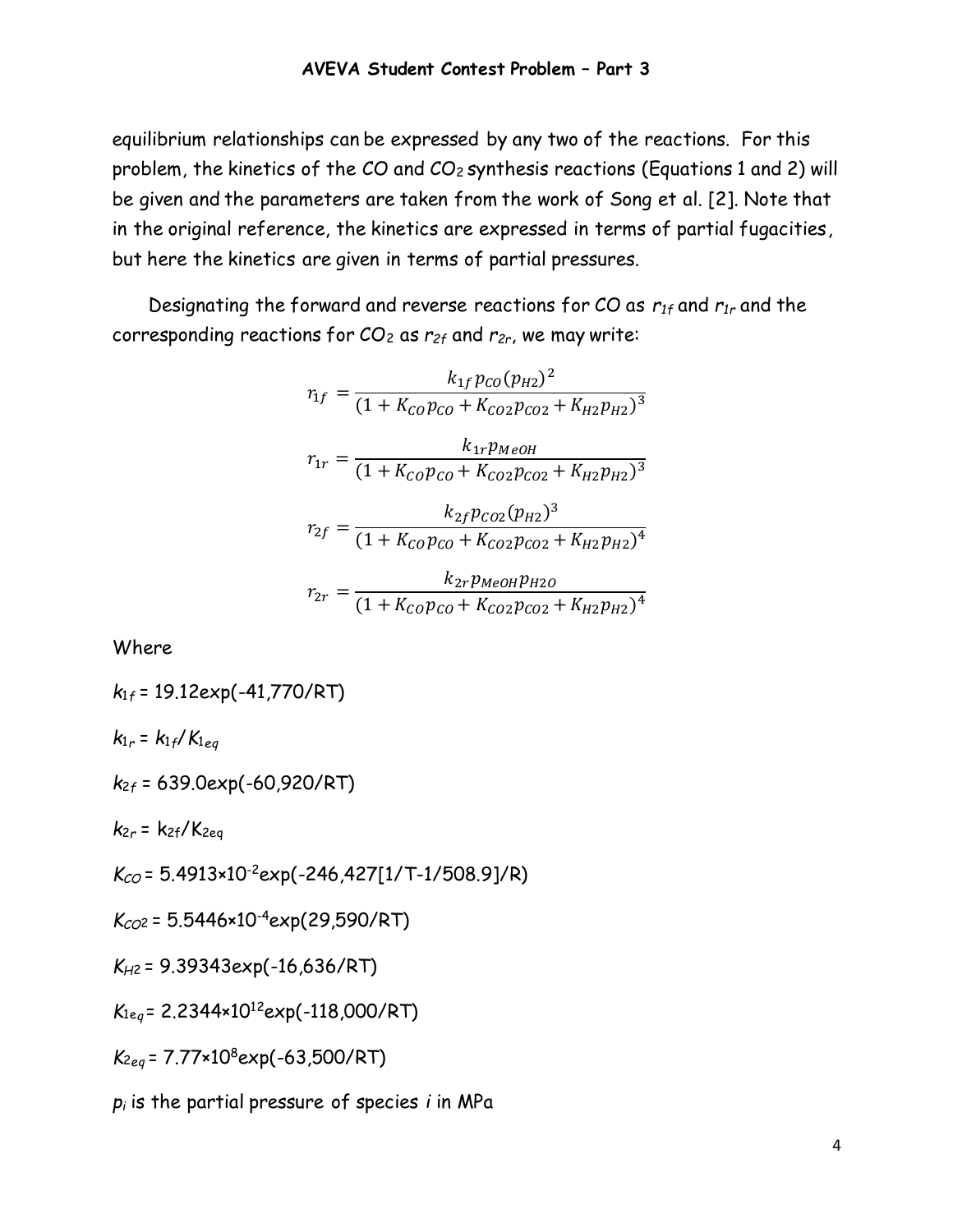equilibrium relationships can be expressed by any two of the reactions. For this problem, the kinetics of the CO and CO<sup>2</sup> synthesis reactions (Equations 1 and 2) will be given and the parameters are taken from the work of Song et al. [2]. Note that in the original reference, the kinetics are expressed in terms of partial fugacities, but here the kinetics are given in terms of partial pressures.

Designating the forward and reverse reactions for CO as *r1f* and *r1r* and the corresponding reactions for CO<sup>2</sup> as *r2f* and *r2r*, we may write:

$$
r_{1f} = \frac{k_{1f}p_{CO}(p_{H2})^2}{(1 + K_{CO}p_{CO} + K_{CO2}p_{CO2} + K_{H2}p_{H2})^3}
$$

$$
r_{1r} = \frac{k_{1r}p_{MeOH}}{(1 + K_{CO}p_{CO} + K_{CO2}p_{CO2} + K_{H2}p_{H2})^3}
$$

$$
r_{2f} = \frac{k_{2f}p_{CO2}(p_{H2})^3}{(1 + K_{CO}p_{CO} + K_{CO2}p_{CO2} + K_{H2}p_{H2})^4}
$$

$$
r_{2r} = \frac{k_{2r}p_{MeOH}p_{H2O}}{(1 + K_{CO}p_{CO} + K_{CO2}p_{CO2} + K_{H2}p_{H2})^4}
$$

Where

$$
k_{1f} = 19.12 \exp(-41,770/RT)
$$
\n
$$
k_{1r} = k_{1f}/K_{1eq}
$$
\n
$$
k_{2f} = 639.0 \exp(-60,920/RT)
$$

*k*<sup>2</sup>*<sup>r</sup>* = k2f/K2eq

*KCO* = 5.4913×10-2exp(-246,427[1/T-1/508.9]/R)

*KCO*<sup>2</sup>= 5.5446×10-4exp(29,590/RT)

*KH*<sup>2</sup>= 9.39343exp(-16,636/RT)

*K*1e*<sup>q</sup>* = 2.2344×10<sup>12</sup>exp(-118,000/RT)

*K*<sup>2</sup>*eq* = 7.77×10<sup>8</sup>exp(-63,500/RT)

*p<sup>i</sup>* is the partial pressure of species *i* in MPa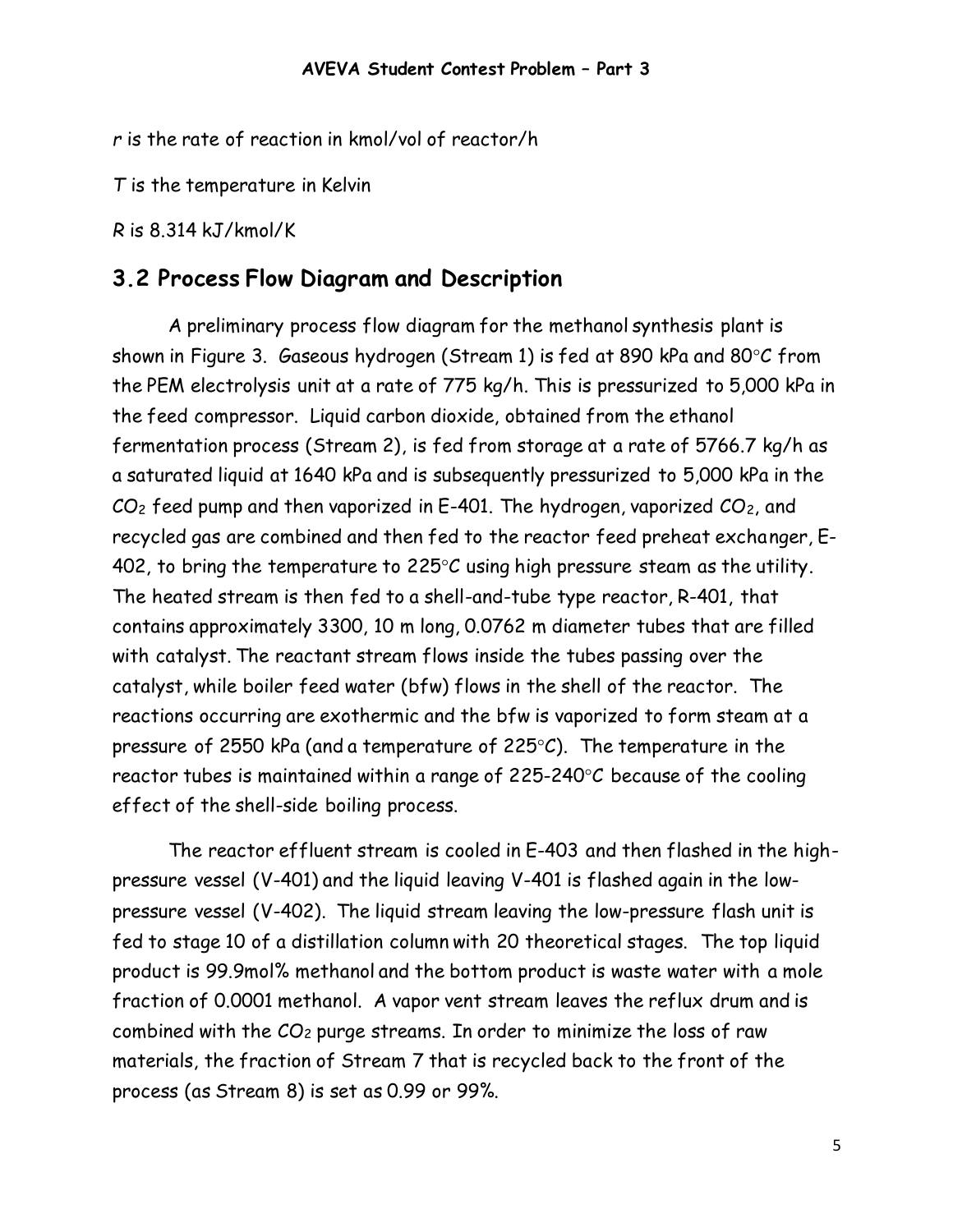*r* is the rate of reaction in kmol/vol of reactor/h

*T* is the temperature in Kelvin

*R* is 8.314 kJ/kmol/K

### **3.2 Process Flow Diagram and Description**

A preliminary process flow diagram for the methanol synthesis plant is shown in Figure 3. Gaseous hydrogen (Stream 1) is fed at 890 kPa and 80 $\degree$ C from the PEM electrolysis unit at a rate of 775 kg/h. This is pressurized to 5,000 kPa in the feed compressor. Liquid carbon dioxide, obtained from the ethanol fermentation process (Stream 2), is fed from storage at a rate of 5766.7 kg/h as a saturated liquid at 1640 kPa and is subsequently pressurized to 5,000 kPa in the  $CO<sub>2</sub>$  feed pump and then vaporized in E-401. The hydrogen, vaporized  $CO<sub>2</sub>$ , and recycled gas are combined and then fed to the reactor feed preheat exchanger, E-402, to bring the temperature to  $225^{\circ}$ C using high pressure steam as the utility. The heated stream is then fed to a shell-and-tube type reactor, R-401, that contains approximately 3300, 10 m long, 0.0762 m diameter tubes that are filled with catalyst. The reactant stream flows inside the tubes passing over the catalyst, while boiler feed water (bfw) flows in the shell of the reactor. The reactions occurring are exothermic and the bfw is vaporized to form steam at a pressure of 2550 kPa (and a temperature of 225 $\degree$ C). The temperature in the reactor tubes is maintained within a range of 225-240 $\degree$ C because of the cooling effect of the shell-side boiling process.

The reactor effluent stream is cooled in E-403 and then flashed in the highpressure vessel (V-401) and the liquid leaving V-401 is flashed again in the lowpressure vessel (V-402). The liquid stream leaving the low-pressure flash unit is fed to stage 10 of a distillation column with 20 theoretical stages. The top liquid product is 99.9mol% methanol and the bottom product is waste water with a mole fraction of 0.0001 methanol. A vapor vent stream leaves the reflux drum and is combined with the CO<sup>2</sup> purge streams. In order to minimize the loss of raw materials, the fraction of Stream 7 that is recycled back to the front of the process (as Stream 8) is set as 0.99 or 99%.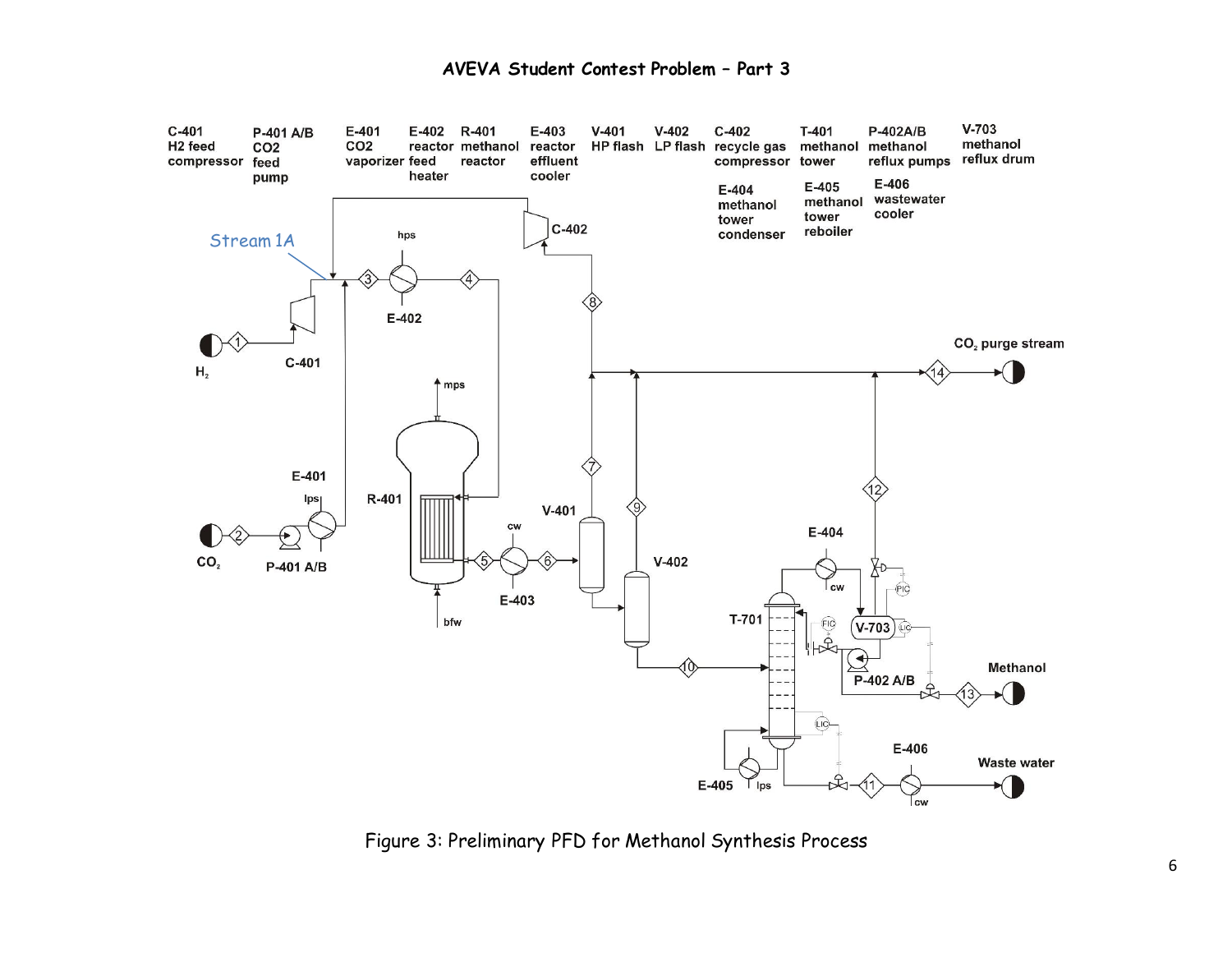

Figure 3: Preliminary PFD for Methanol Synthesis Process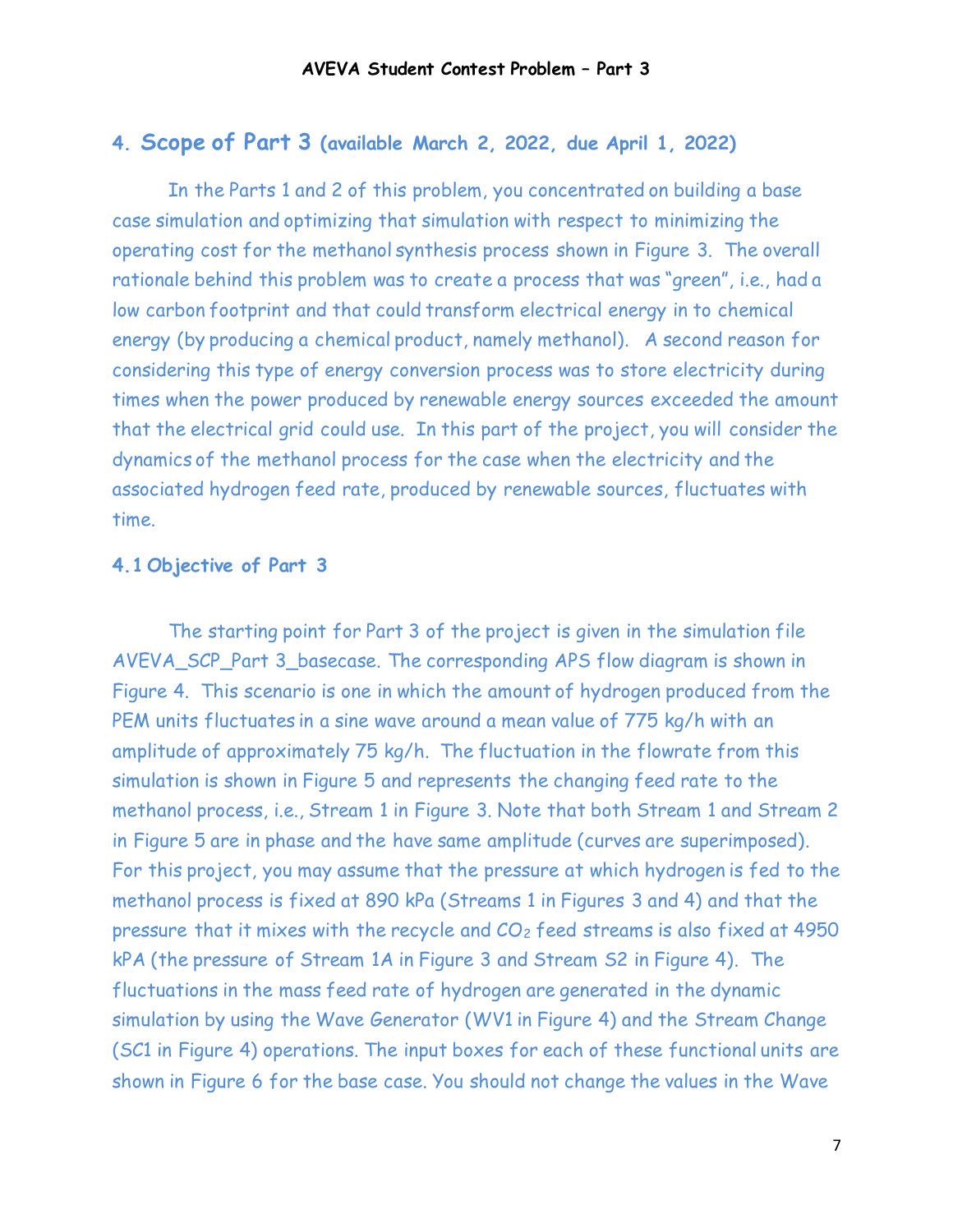#### **4. Scope of Part 3 (available March 2, 2022, due April 1, 2022)**

In the Parts 1 and 2 of this problem, you concentrated on building a base case simulation and optimizing that simulation with respect to minimizing the operating cost for the methanol synthesis process shown in Figure 3. The overall rationale behind this problem was to create a process that was "green", i.e., had a low carbon footprint and that could transform electrical energy in to chemical energy (by producing a chemical product, namely methanol). A second reason for considering this type of energy conversion process was to store electricity during times when the power produced by renewable energy sources exceeded the amount that the electrical grid could use. In this part of the project, you will consider the dynamics of the methanol process for the case when the electricity and the associated hydrogen feed rate, produced by renewable sources, fluctuates with time.

#### **4.1 Objective of Part 3**

The starting point for Part 3 of the project is given in the simulation file AVEVA\_SCP\_Part 3\_basecase. The corresponding APS flow diagram is shown in Figure 4. This scenario is one in which the amount of hydrogen produced from the PEM units fluctuates in a sine wave around a mean value of 775 kg/h with an amplitude of approximately 75 kg/h. The fluctuation in the flowrate from this simulation is shown in Figure 5 and represents the changing feed rate to the methanol process, i.e., Stream 1 in Figure 3. Note that both Stream 1 and Stream 2 in Figure 5 are in phase and the have same amplitude (curves are superimposed). For this project, you may assume that the pressure at which hydrogen is fed to the methanol process is fixed at 890 kPa (Streams 1 in Figures 3 and 4) and that the pressure that it mixes with the recycle and CO<sup>2</sup> feed streams is also fixed at 4950 kPA (the pressure of Stream 1A in Figure 3 and Stream S2 in Figure 4). The fluctuations in the mass feed rate of hydrogen are generated in the dynamic simulation by using the Wave Generator (WV1 in Figure 4) and the Stream Change (SC1 in Figure 4) operations. The input boxes for each of these functional units are shown in Figure 6 for the base case. You should not change the values in the Wave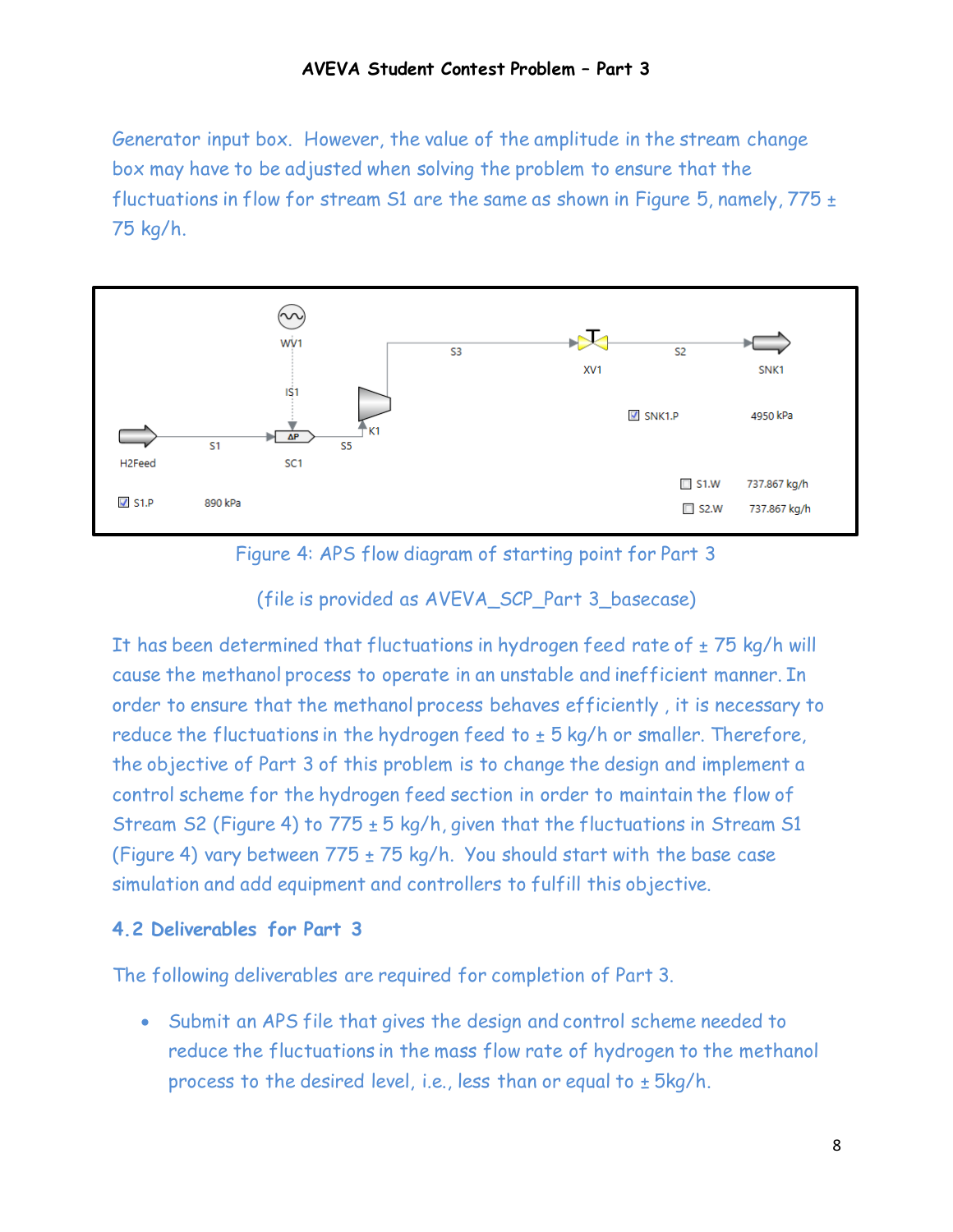Generator input box. However, the value of the amplitude in the stream change box may have to be adjusted when solving the problem to ensure that the fluctuations in flow for stream S1 are the same as shown in Figure 5, namely,  $775 \pm$ 75 kg/h.



Figure 4: APS flow diagram of starting point for Part 3

#### (file is provided as AVEVA\_SCP\_Part 3\_basecase)

It has been determined that fluctuations in hydrogen feed rate of  $\pm$  75 kg/h will cause the methanol process to operate in an unstable and inefficient manner. In order to ensure that the methanol process behaves efficiently , it is necessary to reduce the fluctuations in the hydrogen feed to  $\pm$  5 kg/h or smaller. Therefore, the objective of Part 3 of this problem is to change the design and implement a control scheme for the hydrogen feed section in order to maintain the flow of Stream S2 (Figure 4) to  $775 \pm 5$  kg/h, given that the fluctuations in Stream S1 (Figure 4) vary between  $775 \pm 75$  kg/h. You should start with the base case simulation and add equipment and controllers to fulfill this objective.

#### **4.2 Deliverables for Part 3**

The following deliverables are required for completion of Part 3.

• Submit an APS file that gives the design and control scheme needed to reduce the fluctuations in the mass flow rate of hydrogen to the methanol process to the desired level, i.e., less than or equal to  $\pm$  5kg/h.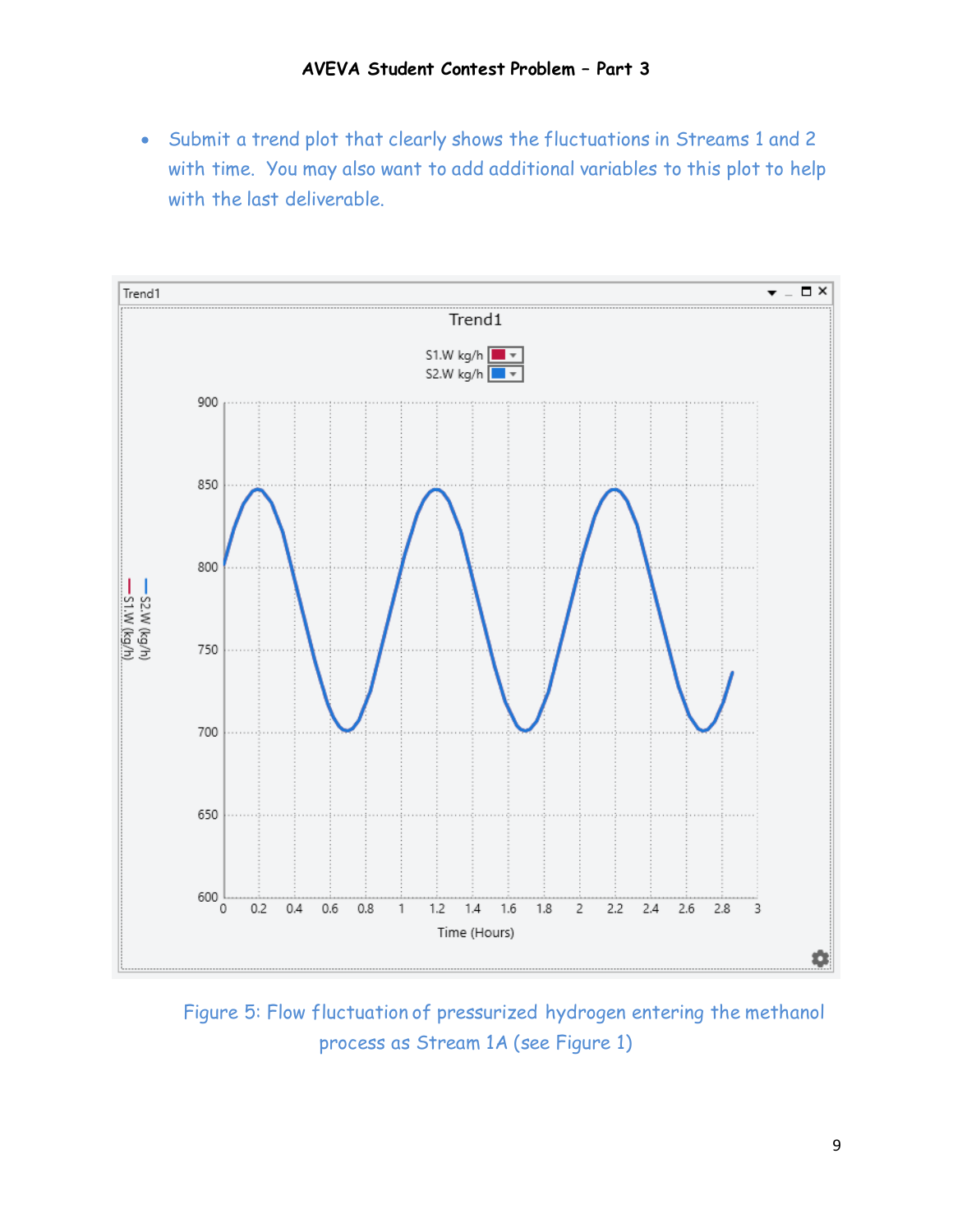• Submit a trend plot that clearly shows the fluctuations in Streams 1 and 2 with time. You may also want to add additional variables to this plot to help with the last deliverable.



Figure 5: Flow fluctuation of pressurized hydrogen entering the methanol process as Stream 1A (see Figure 1)